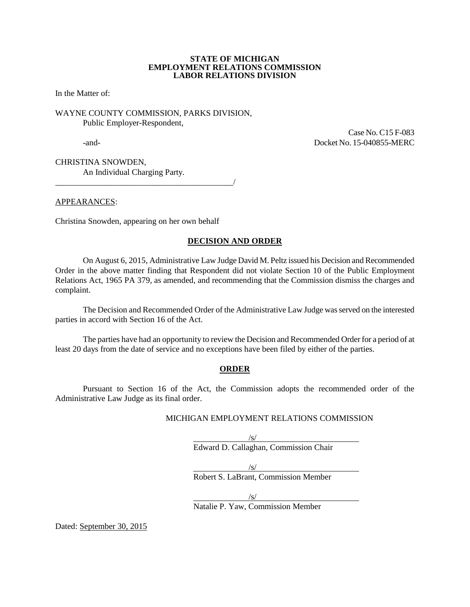#### **STATE OF MICHIGAN EMPLOYMENT RELATIONS COMMISSION LABOR RELATIONS DIVISION**

In the Matter of:

WAYNE COUNTY COMMISSION, PARKS DIVISION, Public Employer-Respondent,

 Case No. C15 F-083 -and- Docket No. 15-040855-MERC

CHRISTINA SNOWDEN, An Individual Charging Party.

APPEARANCES:

Christina Snowden, appearing on her own behalf

\_\_\_\_\_\_\_\_\_\_\_\_\_\_\_\_\_\_\_\_\_\_\_\_\_\_\_\_\_\_\_\_\_\_\_\_\_\_\_\_\_\_/

### **DECISION AND ORDER**

On August 6, 2015, Administrative Law Judge David M. Peltz issued his Decision and Recommended Order in the above matter finding that Respondent did not violate Section 10 of the Public Employment Relations Act, 1965 PA 379, as amended, and recommending that the Commission dismiss the charges and complaint.

The Decision and Recommended Order of the Administrative Law Judge was served on the interested parties in accord with Section 16 of the Act.

The parties have had an opportunity to review the Decision and Recommended Order for a period of at least 20 days from the date of service and no exceptions have been filed by either of the parties.

#### **ORDER**

Pursuant to Section 16 of the Act, the Commission adopts the recommended order of the Administrative Law Judge as its final order.

#### MICHIGAN EMPLOYMENT RELATIONS COMMISSION

/s/ Edward D. Callaghan, Commission Chair

/s/

Robert S. LaBrant, Commission Member

 $\sqrt{s}$ / Natalie P. Yaw, Commission Member

Dated: September 30, 2015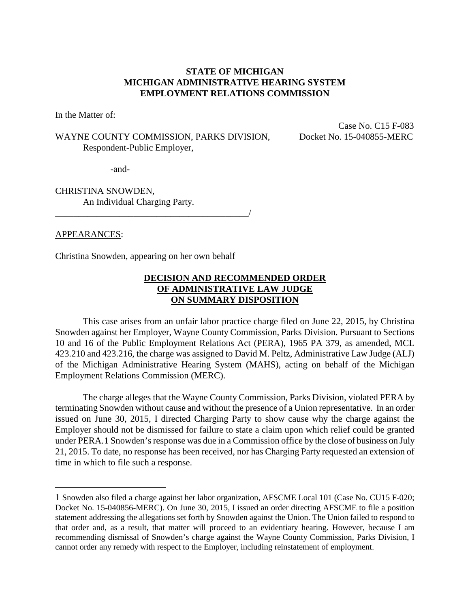## **STATE OF MICHIGAN MICHIGAN ADMINISTRATIVE HEARING SYSTEM EMPLOYMENT RELATIONS COMMISSION**

In the Matter of:

## WAYNE COUNTY COMMISSION, PARKS DIVISION, Docket No. 15-040855-MERC Respondent-Public Employer,

Case No. C15 F-083

-and-

CHRISTINA SNOWDEN, An Individual Charging Party.

### APPEARANCES:

 $\overline{a}$ 

Christina Snowden, appearing on her own behalf

\_\_\_\_\_\_\_\_\_\_\_\_\_\_\_\_\_\_\_\_\_\_\_\_\_\_\_\_\_\_\_\_\_\_\_\_\_\_\_\_\_\_/

## **DECISION AND RECOMMENDED ORDER OF ADMINISTRATIVE LAW JUDGE ON SUMMARY DISPOSITION**

This case arises from an unfair labor practice charge filed on June 22, 2015, by Christina Snowden against her Employer, Wayne County Commission, Parks Division. Pursuant to Sections 10 and 16 of the Public Employment Relations Act (PERA), 1965 PA 379, as amended, MCL 423.210 and 423.216, the charge was assigned to David M. Peltz, Administrative Law Judge (ALJ) of the Michigan Administrative Hearing System (MAHS), acting on behalf of the Michigan Employment Relations Commission (MERC).

The charge alleges that the Wayne County Commission, Parks Division, violated PERA by terminating Snowden without cause and without the presence of a Union representative. In an order issued on June 30, 2015, I directed Charging Party to show cause why the charge against the Employer should not be dismissed for failure to state a claim upon which relief could be granted under PERA.[1](#page-1-0) Snowden's response was due in a Commission office by the close of business on July 21, 2015. To date, no response has been received, nor has Charging Party requested an extension of time in which to file such a response.

<span id="page-1-0"></span><sup>1</sup> Snowden also filed a charge against her labor organization, AFSCME Local 101 (Case No. CU15 F-020; Docket No. 15-040856-MERC). On June 30, 2015, I issued an order directing AFSCME to file a position statement addressing the allegations set forth by Snowden against the Union. The Union failed to respond to that order and, as a result, that matter will proceed to an evidentiary hearing. However, because I am recommending dismissal of Snowden's charge against the Wayne County Commission, Parks Division, I cannot order any remedy with respect to the Employer, including reinstatement of employment.